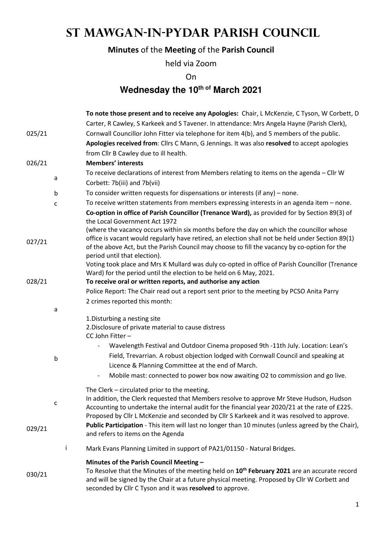# **St Mawgan-in-Pydar Parish Council**

## **Minutes** of the **Meeting** of the **Parish Council**

held via Zoom

On

## **Wednesday the 10th of March 2021**

|        |   | To note those present and to receive any Apologies: Chair, L McKenzie, C Tyson, W Corbett, D                                                                                                                                                                         |
|--------|---|----------------------------------------------------------------------------------------------------------------------------------------------------------------------------------------------------------------------------------------------------------------------|
|        |   | Carter, R Cawley, S Karkeek and S Tavener. In attendance: Mrs Angela Hayne (Parish Clerk),                                                                                                                                                                           |
| 025/21 |   | Cornwall Councillor John Fitter via telephone for item 4(b), and 5 members of the public.                                                                                                                                                                            |
|        |   | Apologies received from: Cllrs C Mann, G Jennings. It was also resolved to accept apologies                                                                                                                                                                          |
|        |   | from Cllr B Cawley due to ill health.                                                                                                                                                                                                                                |
| 026/21 |   | <b>Members' interests</b>                                                                                                                                                                                                                                            |
|        |   | To receive declarations of interest from Members relating to items on the agenda - Cllr W                                                                                                                                                                            |
|        | a | Corbett: 7b(iii) and 7b(vii)                                                                                                                                                                                                                                         |
|        | b | To consider written requests for dispensations or interests (if any) $-$ none.                                                                                                                                                                                       |
|        | c | To receive written statements from members expressing interests in an agenda item - none.                                                                                                                                                                            |
|        |   | Co-option in office of Parish Councillor (Trenance Ward), as provided for by Section 89(3) of<br>the Local Government Act 1972                                                                                                                                       |
|        |   | (where the vacancy occurs within six months before the day on which the councillor whose                                                                                                                                                                             |
| 027/21 |   | office is vacant would regularly have retired, an election shall not be held under Section 89(1)<br>of the above Act, but the Parish Council may choose to fill the vacancy by co-option for the                                                                     |
|        |   | period until that election).<br>Voting took place and Mrs K Mullard was duly co-opted in office of Parish Councillor (Trenance                                                                                                                                       |
|        |   | Ward) for the period until the election to be held on 6 May, 2021.                                                                                                                                                                                                   |
| 028/21 |   | To receive oral or written reports, and authorise any action                                                                                                                                                                                                         |
|        |   | Police Report: The Chair read out a report sent prior to the meeting by PCSO Anita Parry                                                                                                                                                                             |
|        |   | 2 crimes reported this month:                                                                                                                                                                                                                                        |
|        | a |                                                                                                                                                                                                                                                                      |
|        |   | 1. Disturbing a nesting site                                                                                                                                                                                                                                         |
|        |   | 2. Disclosure of private material to cause distress                                                                                                                                                                                                                  |
|        |   | CC John Fitter-                                                                                                                                                                                                                                                      |
|        |   | Wavelength Festival and Outdoor Cinema proposed 9th -11th July. Location: Lean's                                                                                                                                                                                     |
|        | b | Field, Trevarrian. A robust objection lodged with Cornwall Council and speaking at                                                                                                                                                                                   |
|        |   | Licence & Planning Committee at the end of March.                                                                                                                                                                                                                    |
|        |   | Mobile mast: connected to power box now awaiting O2 to commission and go live.<br>$\overline{\phantom{a}}$                                                                                                                                                           |
|        |   | The Clerk - circulated prior to the meeting.                                                                                                                                                                                                                         |
|        | c | In addition, the Clerk requested that Members resolve to approve Mr Steve Hudson, Hudson<br>Accounting to undertake the internal audit for the financial year 2020/21 at the rate of £225.                                                                           |
|        |   | Proposed by Cllr L McKenzie and seconded by Cllr S Karkeek and it was resolved to approve.                                                                                                                                                                           |
| 029/21 |   | Public Participation - This item will last no longer than 10 minutes (unless agreed by the Chair),<br>and refers to items on the Agenda                                                                                                                              |
|        | Ť | Mark Evans Planning Limited in support of PA21/01150 - Natural Bridges.                                                                                                                                                                                              |
|        |   | Minutes of the Parish Council Meeting -                                                                                                                                                                                                                              |
| 030/21 |   | To Resolve that the Minutes of the meeting held on 10 <sup>th</sup> February 2021 are an accurate record<br>and will be signed by the Chair at a future physical meeting. Proposed by Cllr W Corbett and<br>seconded by Cllr C Tyson and it was resolved to approve. |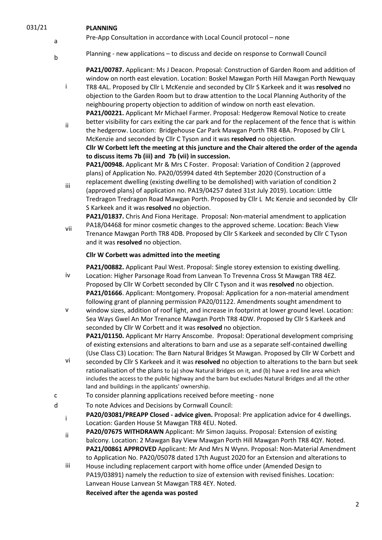a

#### 031/21 **PLANNING**

- Pre-App Consultation in accordance with Local Council protocol none
- <sup>b</sup>Planning new applications to discuss and decide on response to Cornwall Council

**PA21/00787.** Applicant: Ms J Deacon. Proposal: Construction of Garden Room and addition of window on north east elevation. Location: Boskel Mawgan Porth Hill Mawgan Porth Newquay

- i TR8 4AL. Proposed by Cllr L McKenzie and seconded by Cllr S Karkeek and it was **resolved** no objection to the Garden Room but to draw attention to the Local Planning Authority of the neighbouring property objection to addition of window on north east elevation. **PA21/00221.** Applicant Mr Michael Farmer. Proposal: Hedgerow Removal Notice to create
- ii better visibility for cars exiting the car park and for the replacement of the fence that is within the hedgerow. Location: Bridgehouse Car Park Mawgan Porth TR8 4BA. Proposed by Cllr L McKenzie and seconded by Cllr C Tyson and it was **resolved** no objection. **Cllr W Corbett left the meeting at this juncture and the Chair altered the order of the agenda to discuss items 7b (iii) and 7b (vii) in succession. PA21/00948.** Applicant Mr & Mrs C Foster. Proposal: Variation of Condition 2 (approved

plans) of Application No. PA20/05994 dated 4th September 2020 (Construction of a

iii replacement dwelling (existing dwelling to be demolished) with variation of condition 2 (approved plans) of application no. PA19/04257 dated 31st July 2019). Location: Little Tredragon Tredragon Road Mawgan Porth. Proposed by Cllr L Mc Kenzie and seconded by Cllr S Karkeek and it was **resolved** no objection.

**PA21/01837.** Chris And Fiona Heritage. Proposal: Non-material amendment to application PA18/04468 for minor cosmetic changes to the approved scheme. Location: Beach View

vii Trenance Mawgan Porth TR8 4DB. Proposed by Cllr S Karkeek and seconded by Cllr C Tyson and it was **resolved** no objection.

#### **Cllr W Corbett was admitted into the meeting**

iv **PA21/00882.** Applicant Paul West. Proposal: Single storey extension to existing dwelling. Location: Higher Parsonage Road from Lanvean To Trevenna Cross St Mawgan TR8 4EZ. Proposed by Cllr W Corbett seconded by Cllr C Tyson and it was **resolved** no objection. **PA21/01666**. Applicant: Montgomery. Proposal: Application for a non-material amendment following grant of planning permission PA20/01122. Amendments sought amendment to

v window sizes, addition of roof light, and increase in footprint at lower ground level. Location: Sea Ways Gwel An Mor Trenance Mawgan Porth TR8 4DW. Proposed by Cllr S Karkeek and seconded by Cllr W Corbett and it was **resolved** no objection. **PA21/01150.** Applicant Mr Harry Anscombe. Proposal: Operational development comprising

of existing extensions and alterations to barn and use as a separate self-contained dwelling (Use Class C3) Location: The Barn Natural Bridges St Mawgan. Proposed by Cllr W Corbett and seconded by Cllr S Karkeek and it was **resolved** no objection to alterations to the barn but seek

- vi rationalisation of the plans to (a) show Natural Bridges on it, and (b) have a red line area which includes the access to the public highway and the barn but excludes Natural Bridges and all the other land and buildings in the applicants' ownership.
- c To consider planning applications received before meeting none
- d To note Advices and Decisions by Cornwall Council:
	- <sup>i</sup>**PA20/03081/PREAPP Closed - advice given.** Proposal: Pre application advice for 4 dwellings. Location: Garden House St Mawgan TR8 4EU. Noted.
	- **PA20/07675 WITHDRAWN** Applicant: Mr Simon Jaquiss. Proposal: Extension of existing balcony. Location: 2 Mawgan Bay View Mawgan Porth Hill Mawgan Porth TR8 4QY. Noted. **PA21/00861 APPROVED** Applicant: Mr And Mrs N Wynn. Proposal: Non-Material Amendment to Application No. PA20/05078 dated 17th August 2020 for an Extension and alterations to
	- iii House including replacement carport with home office under (Amended Design to PA19/03891) namely the reduction to size of extension with revised finishes. Location: Lanvean House Lanvean St Mawgan TR8 4EY. Noted. **Received after the agenda was posted**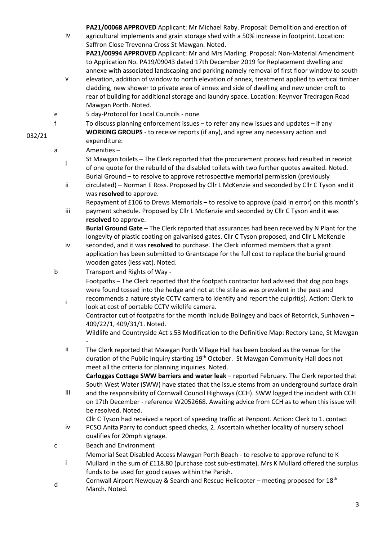**PA21/00068 APPROVED** Applicant: Mr Michael Raby. Proposal: Demolition and erection of

- iv agricultural implements and grain storage shed with a 50% increase in footprint. Location: Saffron Close Trevenna Cross St Mawgan. Noted. **PA21/00994 APPROVED** Applicant: Mr and Mrs Marling. Proposal: Non-Material Amendment to Application No. PA19/09043 dated 17th December 2019 for Replacement dwelling and
- v annexe with associated landscaping and parking namely removal of first floor window to south elevation, addition of window to north elevation of annex, treatment applied to vertical timber cladding, new shower to private area of annex and side of dwelling and new under croft to rear of building for additional storage and laundry space. Location: Keynvor Tredragon Road Mawgan Porth. Noted.
- e 5 day-Protocol for Local Councils none
- f To discuss planning enforcement issues to refer any new issues and updates if any **WORKING GROUPS** - to receive reports (if any), and agree any necessary action and expenditure:
	- a Amenities
		- St Mawgan toilets The Clerk reported that the procurement process had resulted in receipt of one quote for the rebuild of the disabled toilets with two further quotes awaited. Noted. Burial Ground – to resolve to approve retrospective memorial permission (previously
		- ii circulated) – Norman E Ross. Proposed by Cllr L McKenzie and seconded by Cllr C Tyson and it was **resolved** to approve.
		- iii Repayment of £106 to Drews Memorials – to resolve to approve (paid in error) on this month's payment schedule. Proposed by Cllr L McKenzie and seconded by Cllr C Tyson and it was **resolved** to approve.

**Burial Ground Gate** – The Clerk reported that assurances had been received by N Plant for the longevity of plastic coating on galvanised gates. Cllr C Tyson proposed, and Cllr L McKenzie

- iv seconded, and it was **resolved** to purchase. The Clerk informed members that a grant application has been submitted to Grantscape for the full cost to replace the burial ground wooden gates (less vat). Noted.
- b Transport and Rights of Way -

Footpaths – The Clerk reported that the footpath contractor had advised that dog poo bags were found tossed into the hedge and not at the stile as was prevalent in the past and

i recommends a nature style CCTV camera to identify and report the culprit(s). Action: Clerk to look at cost of portable CCTV wildlife camera. Contractor cut of footpaths for the month include Bolingey and back of Retorrick, Sunhaven –

409/22/1, 409/31/1. Noted.

Wildlife and Countryside Act s.53 Modification to the Definitive Map: Rectory Lane, St Mawgan -

ii The Clerk reported that Mawgan Porth Village Hall has been booked as the venue for the duration of the Public Inquiry starting 19<sup>th</sup> October. St Mawgan Community Hall does not meet all the criteria for planning inquiries. Noted.

**Carloggas Cottage SWW barriers and water leak** – reported February. The Clerk reported that South West Water (SWW) have stated that the issue stems from an underground surface drain

- iii and the responsibility of Cornwall Council Highways (CCH). SWW logged the incident with CCH on 17th December - reference W2052668. Awaiting advice from CCH as to when this issue will be resolved. Noted.
	- Cllr C Tyson had received a report of speeding traffic at Penpont. Action: Clerk to 1. contact
- iv PCSO Anita Parry to conduct speed checks, 2. Ascertain whether locality of nursery school qualifies for 20mph signage.
- c Beach and Environment
	- Memorial Seat Disabled Access Mawgan Porth Beach to resolve to approve refund to K
	- i Mullard in the sum of £118.80 (purchase cost sub-estimate). Mrs K Mullard offered the surplus funds to be used for good causes within the Parish.
- d Cornwall Airport Newquay & Search and Rescue Helicopter meeting proposed for 18<sup>th</sup> March. Noted.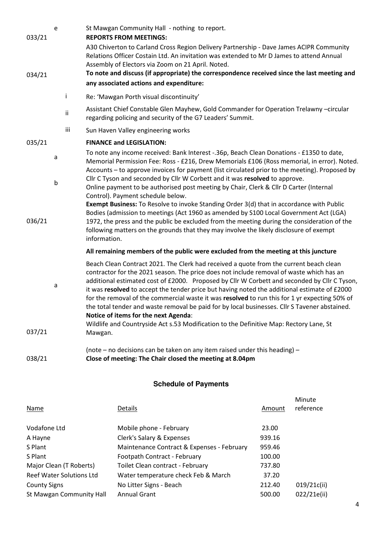| 033/21 | e |     | St Mawgan Community Hall - nothing to report.<br><b>REPORTS FROM MEETINGS:</b>                                                                                                                                                                                                                                                                                                                                                                                                                                                                                                       |
|--------|---|-----|--------------------------------------------------------------------------------------------------------------------------------------------------------------------------------------------------------------------------------------------------------------------------------------------------------------------------------------------------------------------------------------------------------------------------------------------------------------------------------------------------------------------------------------------------------------------------------------|
|        |   |     | A30 Chiverton to Carland Cross Region Delivery Partnership - Dave James ACIPR Community<br>Relations Officer Costain Ltd. An invitation was extended to Mr D James to attend Annual<br>Assembly of Electors via Zoom on 21 April. Noted.                                                                                                                                                                                                                                                                                                                                             |
| 034/21 |   |     | To note and discuss (if appropriate) the correspondence received since the last meeting and                                                                                                                                                                                                                                                                                                                                                                                                                                                                                          |
|        |   |     | any associated actions and expenditure:                                                                                                                                                                                                                                                                                                                                                                                                                                                                                                                                              |
|        |   | Ť   | Re: 'Mawgan Porth visual discontinuity'                                                                                                                                                                                                                                                                                                                                                                                                                                                                                                                                              |
|        |   | ii  | Assistant Chief Constable Glen Mayhew, Gold Commander for Operation Trelawny -circular<br>regarding policing and security of the G7 Leaders' Summit.                                                                                                                                                                                                                                                                                                                                                                                                                                 |
|        |   | iii | Sun Haven Valley engineering works                                                                                                                                                                                                                                                                                                                                                                                                                                                                                                                                                   |
| 035/21 |   |     | <b>FINANCE and LEGISLATION:</b>                                                                                                                                                                                                                                                                                                                                                                                                                                                                                                                                                      |
|        | a |     | To note any income received: Bank Interest -.36p, Beach Clean Donations - £1350 to date,<br>Memorial Permission Fee: Ross - £216, Drew Memorials £106 (Ross memorial, in error). Noted.<br>Accounts - to approve invoices for payment (list circulated prior to the meeting). Proposed by                                                                                                                                                                                                                                                                                            |
|        | b |     | Cllr C Tyson and seconded by Cllr W Corbett and it was resolved to approve.<br>Online payment to be authorised post meeting by Chair, Clerk & Cllr D Carter (Internal<br>Control). Payment schedule below.                                                                                                                                                                                                                                                                                                                                                                           |
| 036/21 |   |     | Exempt Business: To Resolve to invoke Standing Order 3(d) that in accordance with Public<br>Bodies (admission to meetings (Act 1960 as amended by S100 Local Government Act (LGA)<br>1972, the press and the public be excluded from the meeting during the consideration of the<br>following matters on the grounds that they may involve the likely disclosure of exempt<br>information.                                                                                                                                                                                           |
|        |   |     | All remaining members of the public were excluded from the meeting at this juncture                                                                                                                                                                                                                                                                                                                                                                                                                                                                                                  |
|        | a |     | Beach Clean Contract 2021. The Clerk had received a quote from the current beach clean<br>contractor for the 2021 season. The price does not include removal of waste which has an<br>additional estimated cost of £2000. Proposed by Cllr W Corbett and seconded by Cllr C Tyson,<br>it was resolved to accept the tender price but having noted the additional estimate of £2000<br>for the removal of the commercial waste it was resolved to run this for 1 yr expecting 50% of<br>the total tender and waste removal be paid for by local businesses. Cllr S Tavener abstained. |
|        |   |     | Notice of items for the next Agenda:<br>Wildlife and Countryside Act s.53 Modification to the Definitive Map: Rectory Lane, St                                                                                                                                                                                                                                                                                                                                                                                                                                                       |
| 037/21 |   |     | Mawgan.                                                                                                                                                                                                                                                                                                                                                                                                                                                                                                                                                                              |
|        |   |     | (note $-$ no decisions can be taken on any item raised under this heading) $-$                                                                                                                                                                                                                                                                                                                                                                                                                                                                                                       |
| 038/21 |   |     | Close of meeting: The Chair closed the meeting at 8.04pm                                                                                                                                                                                                                                                                                                                                                                                                                                                                                                                             |

## **Schedule of Payments**

| Name                            | <b>Details</b>                             | Amount | Minute<br>reference |
|---------------------------------|--------------------------------------------|--------|---------------------|
| Vodafone Ltd                    | Mobile phone - February                    | 23.00  |                     |
| A Hayne                         | Clerk's Salary & Expenses                  | 939.16 |                     |
| S Plant                         | Maintenance Contract & Expenses - February | 959.46 |                     |
| S Plant                         | Footpath Contract - February               | 100.00 |                     |
| Major Clean (T Roberts)         | Toilet Clean contract - February           | 737.80 |                     |
| <b>Reef Water Solutions Ltd</b> | Water temperature check Feb & March        | 37.20  |                     |
| <b>County Signs</b>             | No Litter Signs - Beach                    | 212.40 | 019/21c(ii)         |
| St Mawgan Community Hall        | <b>Annual Grant</b>                        | 500.00 | 022/21e(ii)         |